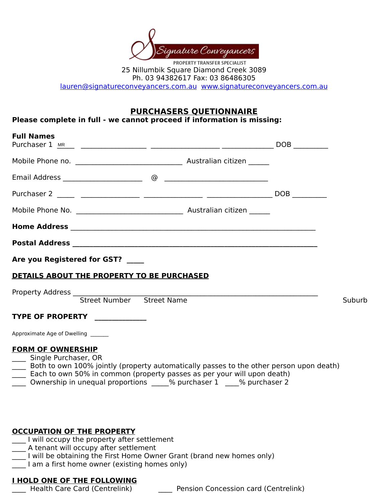

25 Nillumbik Square Diamond Creek 3089 Ph. 03 94382617 Fax: 03 86486305

lauren@signatureconveyancers.com.au www.signatureconveyancers.com.au

## **PURCHASERS QUETIONNAIRE**

Please complete in full - we cannot proceed if information is missing:

| <b>Full Names</b>                                |                                            |                                                                                                                                                                    |     |        |
|--------------------------------------------------|--------------------------------------------|--------------------------------------------------------------------------------------------------------------------------------------------------------------------|-----|--------|
|                                                  |                                            |                                                                                                                                                                    |     |        |
|                                                  |                                            |                                                                                                                                                                    |     |        |
|                                                  |                                            |                                                                                                                                                                    | DOB |        |
|                                                  |                                            |                                                                                                                                                                    |     |        |
|                                                  |                                            |                                                                                                                                                                    |     |        |
|                                                  |                                            |                                                                                                                                                                    |     |        |
|                                                  | Are you Registered for GST?                |                                                                                                                                                                    |     |        |
|                                                  | DETAILS ABOUT THE PROPERTY TO BE PURCHASED |                                                                                                                                                                    |     |        |
|                                                  | Street Number Street Name                  |                                                                                                                                                                    |     | Suburb |
|                                                  |                                            |                                                                                                                                                                    |     |        |
| <b>TYPE OF PROPERTY</b>                          |                                            |                                                                                                                                                                    |     |        |
| Approximate Age of Dwelling                      |                                            |                                                                                                                                                                    |     |        |
| <b>FORM OF OWNERSHIP</b><br>Single Purchaser, OR |                                            | Both to own 100% jointly (property automatically passes to the other person upon death)<br>Each to own 50% in common (property passes as per your will upon death) |     |        |

Ownership in unequal proportions  $\frac{1}{1}$  % purchaser 2

### **OCCUPATION OF THE PROPERTY**

- I will occupy the property after settlement
- $\overline{\phantom{a}}$  A tenant will occupy after settlement
	- $^-$  I will be obtaining the First Home Owner Grant (brand new homes only)
- $\boxed{\phantom{a}}$  I am a first home owner (existing homes only)

# **I HOLD ONE OF THE FOLLOWING**<br>Health Care Card (Centrelink)

Pension Concession card (Centrelink)